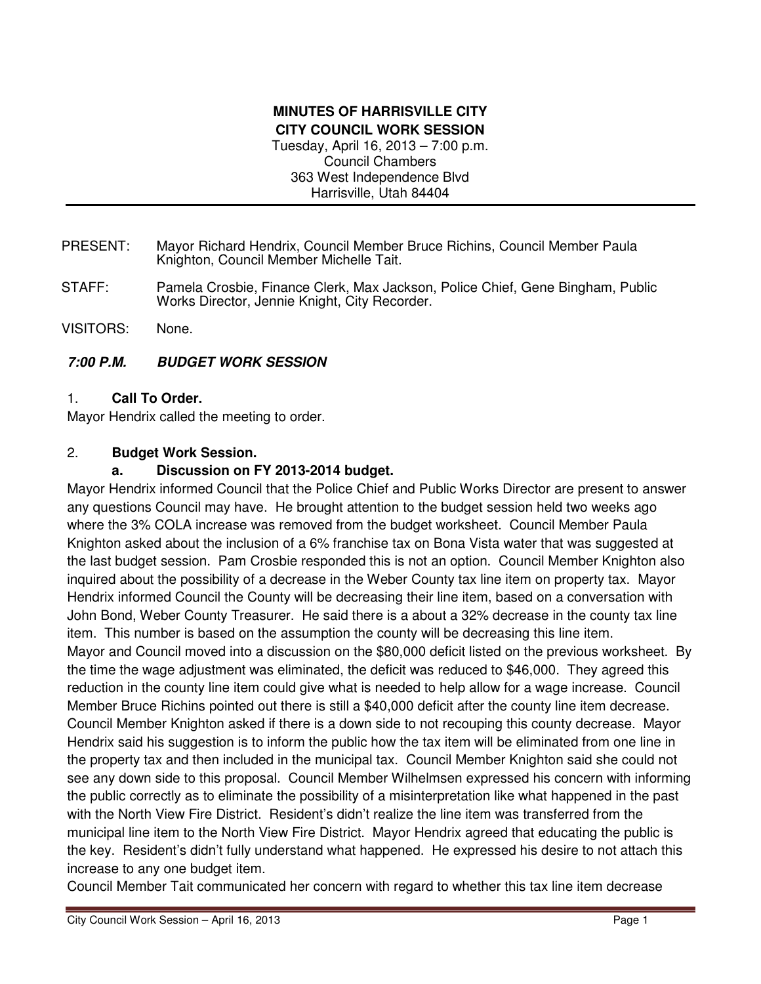### **MINUTES OF HARRISVILLE CITY CITY COUNCIL WORK SESSION**  Tuesday, April 16, 2013 – 7:00 p.m. Council Chambers 363 West Independence Blvd Harrisville, Utah 84404

- PRESENT: Mayor Richard Hendrix, Council Member Bruce Richins, Council Member Paula Knighton, Council Member Michelle Tait.
- STAFF: Pamela Crosbie, Finance Clerk, Max Jackson, Police Chief, Gene Bingham, Public Works Director, Jennie Knight, City Recorder.
- VISITORS: None.

## **7:00 P.M. BUDGET WORK SESSION**

1. **Call To Order.** 

Mayor Hendrix called the meeting to order.

### 2. **Budget Work Session.**

## **a. Discussion on FY 2013-2014 budget.**

Mayor Hendrix informed Council that the Police Chief and Public Works Director are present to answer any questions Council may have. He brought attention to the budget session held two weeks ago where the 3% COLA increase was removed from the budget worksheet. Council Member Paula Knighton asked about the inclusion of a 6% franchise tax on Bona Vista water that was suggested at the last budget session. Pam Crosbie responded this is not an option. Council Member Knighton also inquired about the possibility of a decrease in the Weber County tax line item on property tax. Mayor Hendrix informed Council the County will be decreasing their line item, based on a conversation with John Bond, Weber County Treasurer. He said there is a about a 32% decrease in the county tax line item. This number is based on the assumption the county will be decreasing this line item. Mayor and Council moved into a discussion on the \$80,000 deficit listed on the previous worksheet. By the time the wage adjustment was eliminated, the deficit was reduced to \$46,000. They agreed this reduction in the county line item could give what is needed to help allow for a wage increase. Council Member Bruce Richins pointed out there is still a \$40,000 deficit after the county line item decrease. Council Member Knighton asked if there is a down side to not recouping this county decrease. Mayor Hendrix said his suggestion is to inform the public how the tax item will be eliminated from one line in the property tax and then included in the municipal tax. Council Member Knighton said she could not see any down side to this proposal. Council Member Wilhelmsen expressed his concern with informing the public correctly as to eliminate the possibility of a misinterpretation like what happened in the past with the North View Fire District. Resident's didn't realize the line item was transferred from the municipal line item to the North View Fire District. Mayor Hendrix agreed that educating the public is the key. Resident's didn't fully understand what happened. He expressed his desire to not attach this increase to any one budget item.

Council Member Tait communicated her concern with regard to whether this tax line item decrease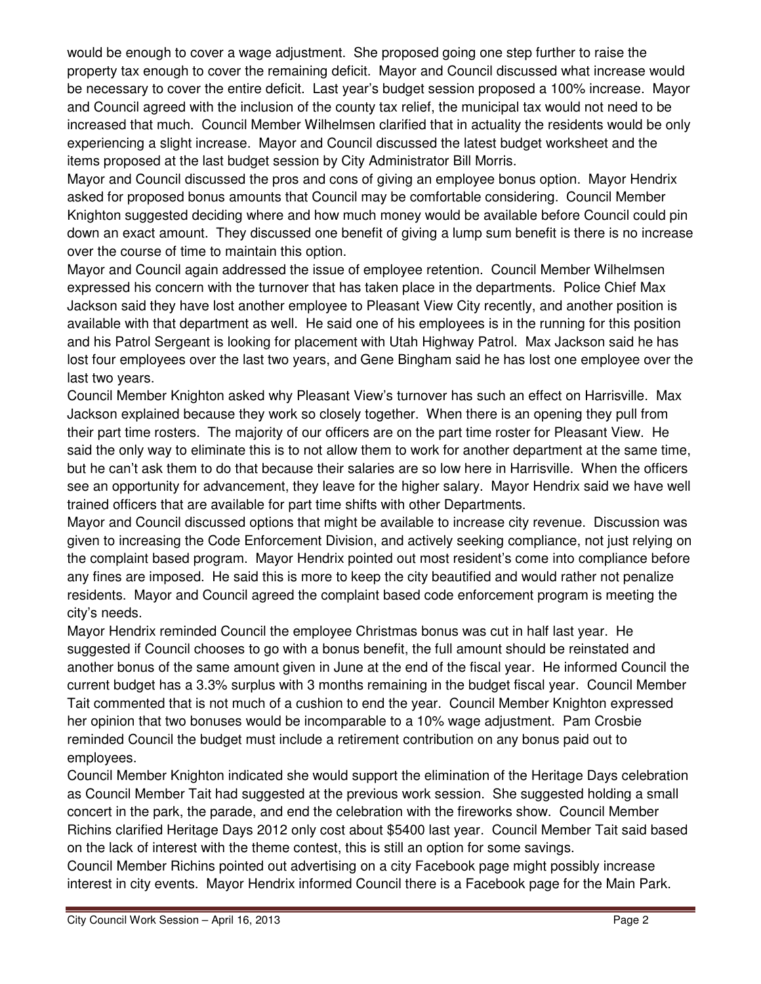would be enough to cover a wage adjustment. She proposed going one step further to raise the property tax enough to cover the remaining deficit. Mayor and Council discussed what increase would be necessary to cover the entire deficit. Last year's budget session proposed a 100% increase. Mayor and Council agreed with the inclusion of the county tax relief, the municipal tax would not need to be increased that much. Council Member Wilhelmsen clarified that in actuality the residents would be only experiencing a slight increase. Mayor and Council discussed the latest budget worksheet and the items proposed at the last budget session by City Administrator Bill Morris.

Mayor and Council discussed the pros and cons of giving an employee bonus option. Mayor Hendrix asked for proposed bonus amounts that Council may be comfortable considering. Council Member Knighton suggested deciding where and how much money would be available before Council could pin down an exact amount. They discussed one benefit of giving a lump sum benefit is there is no increase over the course of time to maintain this option.

Mayor and Council again addressed the issue of employee retention. Council Member Wilhelmsen expressed his concern with the turnover that has taken place in the departments. Police Chief Max Jackson said they have lost another employee to Pleasant View City recently, and another position is available with that department as well. He said one of his employees is in the running for this position and his Patrol Sergeant is looking for placement with Utah Highway Patrol. Max Jackson said he has lost four employees over the last two years, and Gene Bingham said he has lost one employee over the last two years.

Council Member Knighton asked why Pleasant View's turnover has such an effect on Harrisville. Max Jackson explained because they work so closely together. When there is an opening they pull from their part time rosters. The majority of our officers are on the part time roster for Pleasant View. He said the only way to eliminate this is to not allow them to work for another department at the same time, but he can't ask them to do that because their salaries are so low here in Harrisville. When the officers see an opportunity for advancement, they leave for the higher salary. Mayor Hendrix said we have well trained officers that are available for part time shifts with other Departments.

Mayor and Council discussed options that might be available to increase city revenue. Discussion was given to increasing the Code Enforcement Division, and actively seeking compliance, not just relying on the complaint based program. Mayor Hendrix pointed out most resident's come into compliance before any fines are imposed. He said this is more to keep the city beautified and would rather not penalize residents. Mayor and Council agreed the complaint based code enforcement program is meeting the city's needs.

Mayor Hendrix reminded Council the employee Christmas bonus was cut in half last year. He suggested if Council chooses to go with a bonus benefit, the full amount should be reinstated and another bonus of the same amount given in June at the end of the fiscal year. He informed Council the current budget has a 3.3% surplus with 3 months remaining in the budget fiscal year. Council Member Tait commented that is not much of a cushion to end the year. Council Member Knighton expressed her opinion that two bonuses would be incomparable to a 10% wage adjustment. Pam Crosbie reminded Council the budget must include a retirement contribution on any bonus paid out to employees.

Council Member Knighton indicated she would support the elimination of the Heritage Days celebration as Council Member Tait had suggested at the previous work session. She suggested holding a small concert in the park, the parade, and end the celebration with the fireworks show. Council Member Richins clarified Heritage Days 2012 only cost about \$5400 last year. Council Member Tait said based on the lack of interest with the theme contest, this is still an option for some savings.

Council Member Richins pointed out advertising on a city Facebook page might possibly increase interest in city events. Mayor Hendrix informed Council there is a Facebook page for the Main Park.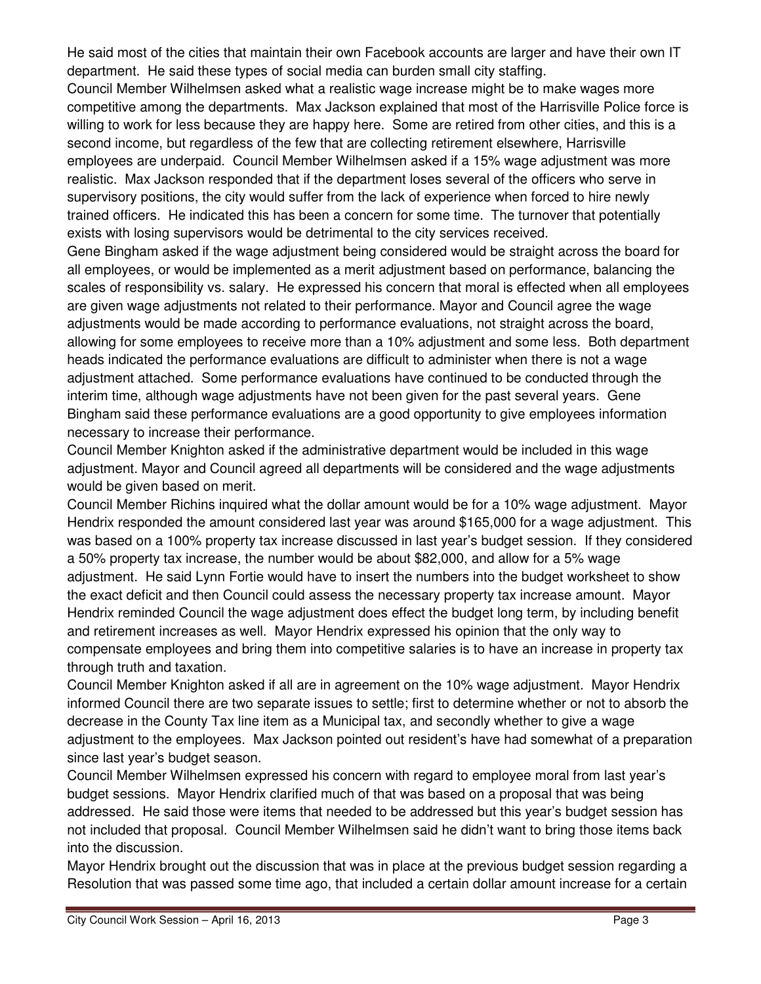He said most of the cities that maintain their own Facebook accounts are larger and have their own IT department. He said these types of social media can burden small city staffing.

Council Member Wilhelmsen asked what a realistic wage increase might be to make wages more competitive among the departments. Max Jackson explained that most of the Harrisville Police force is willing to work for less because they are happy here. Some are retired from other cities, and this is a second income, but regardless of the few that are collecting retirement elsewhere, Harrisville employees are underpaid. Council Member Wilhelmsen asked if a 15% wage adjustment was more realistic. Max Jackson responded that if the department loses several of the officers who serve in supervisory positions, the city would suffer from the lack of experience when forced to hire newly trained officers. He indicated this has been a concern for some time. The turnover that potentially exists with losing supervisors would be detrimental to the city services received.

Gene Bingham asked if the wage adjustment being considered would be straight across the board for all employees, or would be implemented as a merit adjustment based on performance, balancing the scales of responsibility vs. salary. He expressed his concern that moral is effected when all employees are given wage adjustments not related to their performance. Mayor and Council agree the wage adjustments would be made according to performance evaluations, not straight across the board, allowing for some employees to receive more than a 10% adjustment and some less. Both department heads indicated the performance evaluations are difficult to administer when there is not a wage adjustment attached. Some performance evaluations have continued to be conducted through the interim time, although wage adjustments have not been given for the past several years. Gene Bingham said these performance evaluations are a good opportunity to give employees information necessary to increase their performance.

Council Member Knighton asked if the administrative department would be included in this wage adjustment. Mayor and Council agreed all departments will be considered and the wage adjustments would be given based on merit.

Council Member Richins inquired what the dollar amount would be for a 10% wage adjustment. Mayor Hendrix responded the amount considered last year was around \$165,000 for a wage adjustment. This was based on a 100% property tax increase discussed in last year's budget session. If they considered a 50% property tax increase, the number would be about \$82,000, and allow for a 5% wage adjustment. He said Lynn Fortie would have to insert the numbers into the budget worksheet to show the exact deficit and then Council could assess the necessary property tax increase amount. Mayor Hendrix reminded Council the wage adjustment does effect the budget long term, by including benefit and retirement increases as well. Mayor Hendrix expressed his opinion that the only way to compensate employees and bring them into competitive salaries is to have an increase in property tax through truth and taxation.

Council Member Knighton asked if all are in agreement on the 10% wage adjustment. Mayor Hendrix informed Council there are two separate issues to settle; first to determine whether or not to absorb the decrease in the County Tax line item as a Municipal tax, and secondly whether to give a wage adjustment to the employees. Max Jackson pointed out resident's have had somewhat of a preparation since last year's budget season.

Council Member Wilhelmsen expressed his concern with regard to employee moral from last year's budget sessions. Mayor Hendrix clarified much of that was based on a proposal that was being addressed. He said those were items that needed to be addressed but this year's budget session has not included that proposal. Council Member Wilhelmsen said he didn't want to bring those items back into the discussion.

Mayor Hendrix brought out the discussion that was in place at the previous budget session regarding a Resolution that was passed some time ago, that included a certain dollar amount increase for a certain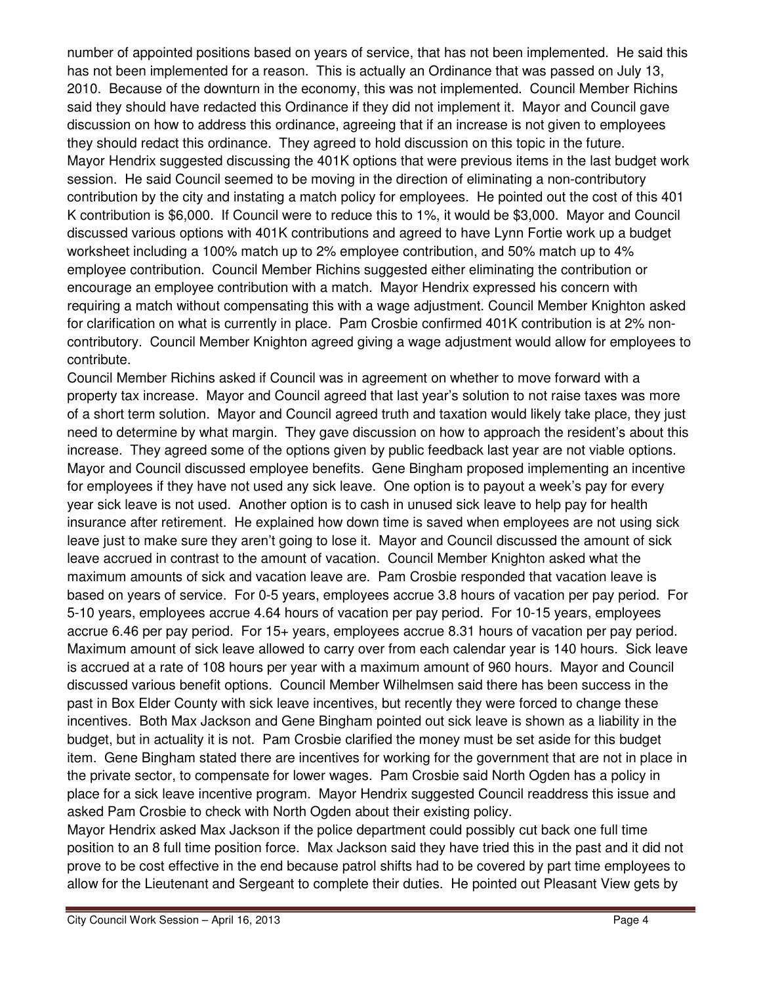number of appointed positions based on years of service, that has not been implemented. He said this has not been implemented for a reason. This is actually an Ordinance that was passed on July 13, 2010. Because of the downturn in the economy, this was not implemented. Council Member Richins said they should have redacted this Ordinance if they did not implement it. Mayor and Council gave discussion on how to address this ordinance, agreeing that if an increase is not given to employees they should redact this ordinance. They agreed to hold discussion on this topic in the future. Mayor Hendrix suggested discussing the 401K options that were previous items in the last budget work session. He said Council seemed to be moving in the direction of eliminating a non-contributory contribution by the city and instating a match policy for employees. He pointed out the cost of this 401 K contribution is \$6,000. If Council were to reduce this to 1%, it would be \$3,000. Mayor and Council discussed various options with 401K contributions and agreed to have Lynn Fortie work up a budget worksheet including a 100% match up to 2% employee contribution, and 50% match up to 4% employee contribution. Council Member Richins suggested either eliminating the contribution or encourage an employee contribution with a match. Mayor Hendrix expressed his concern with requiring a match without compensating this with a wage adjustment. Council Member Knighton asked for clarification on what is currently in place. Pam Crosbie confirmed 401K contribution is at 2% noncontributory. Council Member Knighton agreed giving a wage adjustment would allow for employees to contribute.

Council Member Richins asked if Council was in agreement on whether to move forward with a property tax increase. Mayor and Council agreed that last year's solution to not raise taxes was more of a short term solution. Mayor and Council agreed truth and taxation would likely take place, they just need to determine by what margin. They gave discussion on how to approach the resident's about this increase. They agreed some of the options given by public feedback last year are not viable options. Mayor and Council discussed employee benefits. Gene Bingham proposed implementing an incentive for employees if they have not used any sick leave. One option is to payout a week's pay for every year sick leave is not used. Another option is to cash in unused sick leave to help pay for health insurance after retirement. He explained how down time is saved when employees are not using sick leave just to make sure they aren't going to lose it. Mayor and Council discussed the amount of sick leave accrued in contrast to the amount of vacation. Council Member Knighton asked what the maximum amounts of sick and vacation leave are. Pam Crosbie responded that vacation leave is based on years of service. For 0-5 years, employees accrue 3.8 hours of vacation per pay period. For 5-10 years, employees accrue 4.64 hours of vacation per pay period. For 10-15 years, employees accrue 6.46 per pay period. For 15+ years, employees accrue 8.31 hours of vacation per pay period. Maximum amount of sick leave allowed to carry over from each calendar year is 140 hours. Sick leave is accrued at a rate of 108 hours per year with a maximum amount of 960 hours. Mayor and Council discussed various benefit options. Council Member Wilhelmsen said there has been success in the past in Box Elder County with sick leave incentives, but recently they were forced to change these incentives. Both Max Jackson and Gene Bingham pointed out sick leave is shown as a liability in the budget, but in actuality it is not. Pam Crosbie clarified the money must be set aside for this budget item. Gene Bingham stated there are incentives for working for the government that are not in place in the private sector, to compensate for lower wages. Pam Crosbie said North Ogden has a policy in place for a sick leave incentive program. Mayor Hendrix suggested Council readdress this issue and asked Pam Crosbie to check with North Ogden about their existing policy.

Mayor Hendrix asked Max Jackson if the police department could possibly cut back one full time position to an 8 full time position force. Max Jackson said they have tried this in the past and it did not prove to be cost effective in the end because patrol shifts had to be covered by part time employees to allow for the Lieutenant and Sergeant to complete their duties. He pointed out Pleasant View gets by